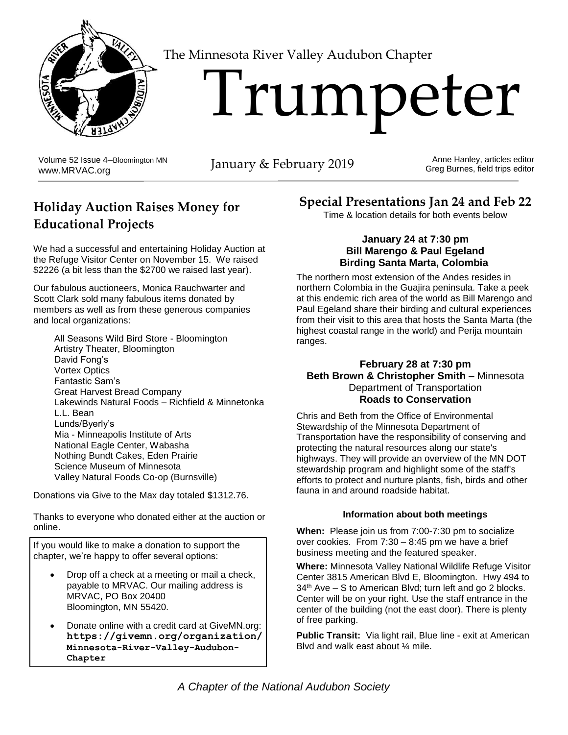

The Minnesota River Valley Audubon Chapter

# Trumpeter

Volume 52 Issue 4–Bloomington MN Volume 52 Issue 4–Bloomington MN<br>[www.MRVAC.org](http://www.mrvac.org/) January & February 2019

Anne Hanley, articles editor Greg Burnes, field trips editor

# **Holiday Auction Raises Money for Educational Projects**

We had a successful and entertaining Holiday Auction at the Refuge Visitor Center on November 15. We raised \$2226 (a bit less than the \$2700 we raised last year).

Our fabulous auctioneers, Monica Rauchwarter and Scott Clark sold many fabulous items donated by members as well as from these generous companies and local organizations:

All Seasons Wild Bird Store - Bloomington Artistry Theater, Bloomington David Fong's Vortex Optics Fantastic Sam's Great Harvest Bread Company Lakewinds Natural Foods – Richfield & Minnetonka L.L. Bean Lunds/Byerly's Mia - Minneapolis Institute of Arts National Eagle Center, Wabasha Nothing Bundt Cakes, Eden Prairie Science Museum of Minnesota Valley Natural Foods Co-op (Burnsville)

Donations via Give to the Max day totaled \$1312.76.

Thanks to everyone who donated either at the auction or online.

If you would like to make a donation to support the chapter, we're happy to offer several options:

- Drop off a check at a meeting or mail a check, payable to MRVAC. Our mailing address is MRVAC, PO Box 20400 Bloomington, MN 55420.
- Donate online with a credit card at GiveMN.org: **https://givemn.org/organization/ Minnesota-River-Valley-Audubon-Chapter**

# **Special Presentations Jan 24 and Feb 22**

Time & location details for both events below

#### **January 24 at 7:30 pm Bill Marengo & Paul Egeland Birding Santa Marta, Colombia**

The northern most extension of the Andes resides in northern Colombia in the Guajira peninsula. Take a peek at this endemic rich area of the world as Bill Marengo and Paul Egeland share their birding and cultural experiences from their visit to this area that hosts the Santa Marta (the highest coastal range in the world) and Perija mountain ranges.

#### **February 28 at 7:30 pm Beth Brown & Christopher Smith** – Minnesota Department of Transportation **Roads to Conservation**

Chris and Beth from the Office of Environmental Stewardship of the Minnesota Department of Transportation have the responsibility of conserving and protecting the natural resources along our state's highways. They will provide an overview of the MN DOT stewardship program and highlight some of the staff's efforts to protect and nurture plants, fish, birds and other fauna in and around roadside habitat.

#### **Information about both meetings**

**When:** Please join us from 7:00-7:30 pm to socialize over cookies. From 7:30 – 8:45 pm we have a brief business meeting and the featured speaker.

**Where:** Minnesota Valley National Wildlife Refuge Visitor Center 3815 American Blvd E, Bloomington. Hwy 494 to 34<sup>th</sup> Ave – S to American Blvd; turn left and go 2 blocks. Center will be on your right. Use the staff entrance in the center of the building (not the east door). There is plenty of free parking.

**Public Transit:** Via light rail, Blue line - exit at American Blvd and walk east about ¼ mile.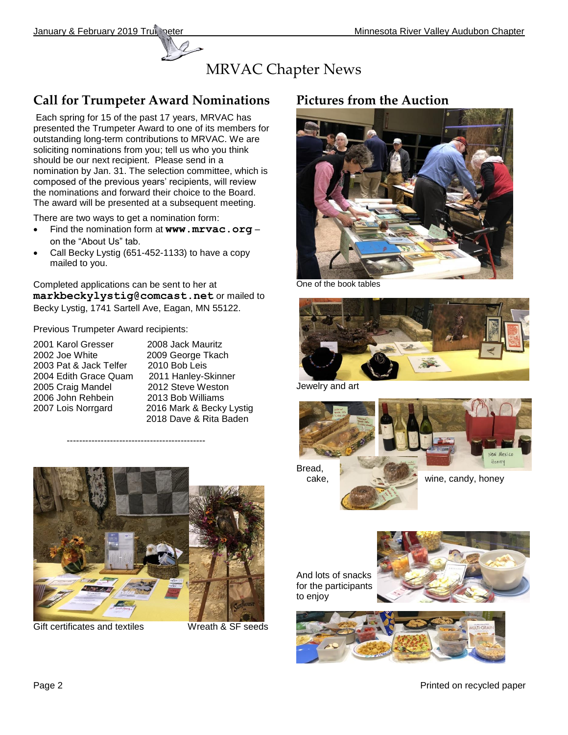

## **Call for Trumpeter Award Nominations**

Each spring for 15 of the past 17 years, MRVAC has presented the Trumpeter Award to one of its members for outstanding long-term contributions to MRVAC. We are soliciting nominations from you; tell us who you think should be our next recipient. Please send in a nomination by Jan. 31. The selection committee, which is composed of the previous years' recipients, will review the nominations and forward their choice to the Board. The award will be presented at a subsequent meeting.

There are two ways to get a nomination form:

- Find the nomination form at **[www.mrvac.org](http://www.mrvac.org/)** on the "About Us" tab.
- Call Becky Lystig (651-452-1133) to have a copy mailed to you.

Completed applications can be sent to her at **[markbeckylystig@comcast.net](mailto:markbeckylystig@comcast.net)** or mailed to Becky Lystig, 1741 Sartell Ave, Eagan, MN 55122.

Previous Trumpeter Award recipients:

- 2001 Karol Gresser 2008 Jack Mauritz 2002 Joe White 2009 George Tkach 2003 Pat & Jack Telfer 2010 Bob Leis 2004 Edith Grace Quam 2011 Hanley-Skinner 2005 Craig Mandel 2012 Steve Weston<br>
2006 John Rehbein 2013 Bob Williams 2006 John Rehbein
- 2007 Lois Norrgard 2016 Mark & Becky Lystig 2018 Dave & Rita Baden



---------------------------------------------

Gift certificates and textiles Wreath & SF seeds

## **Pictures from the Auction**



One of the book tables



Jewelry and art



**List** 

cake, wine, candy, honey

And lots of snacks for the participants to enjoy





Page 2 Printed on recycled paper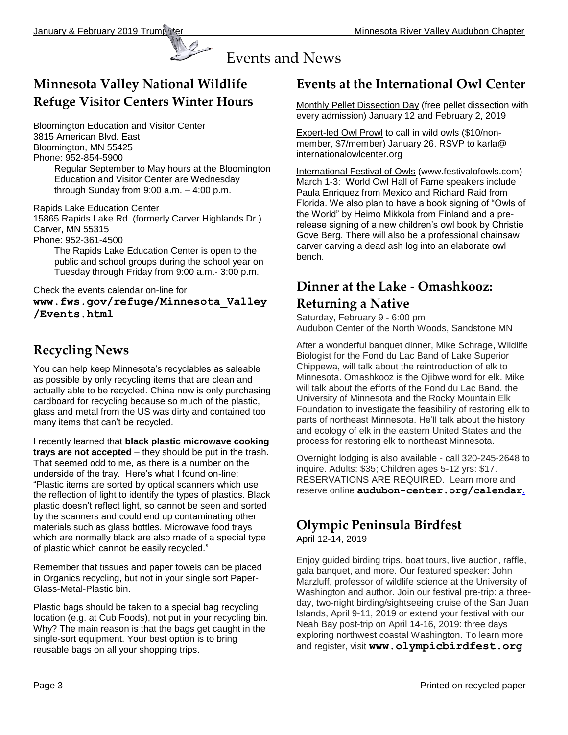

## **Minnesota Valley National Wildlife Refuge Visitor Centers Winter Hours**

Bloomington Education and Visitor Center 3815 American Blvd. East Bloomington, MN 55425 Phone: 952-854-5900

Regular September to May hours at the Bloomington Education and Visitor Center are Wednesday through Sunday from 9:00 a.m. – 4:00 p.m.

Rapids Lake Education Center

15865 Rapids Lake Rd. (formerly Carver Highlands Dr.) Carver, MN 55315

Phone: 952-361-4500

The Rapids Lake Education Center is open to the public and school groups during the school year on Tuesday through Friday from 9:00 a.m.- 3:00 p.m.

Check the events calendar on-line for

**[www.fws.gov/refuge/Minnesota\\_Valley](http://www.fws.gov/refuge/Minnesota_Valley/Events.html) [/Events.html](http://www.fws.gov/refuge/Minnesota_Valley/Events.html)**

## **Recycling News**

You can help keep Minnesota's recyclables as saleable as possible by only recycling items that are clean and actually able to be recycled. China now is only purchasing cardboard for recycling because so much of the plastic, glass and metal from the US was dirty and contained too many items that can't be recycled.

I recently learned that **black plastic microwave cooking trays are not accepted** – they should be put in the trash. That seemed odd to me, as there is a number on the underside of the tray. Here's what I found on-line: "Plastic items are sorted by optical scanners which use the reflection of light to identify the types of plastics. Black plastic doesn't reflect light, so cannot be seen and sorted by the scanners and could end up contaminating other materials such as glass bottles. Microwave food trays which are normally black are also made of a special type of plastic which cannot be easily recycled."

Remember that tissues and paper towels can be placed in Organics recycling, but not in your single sort Paper-Glass-Metal-Plastic bin.

Plastic bags should be taken to a special bag recycling location (e.g. at Cub Foods), not put in your recycling bin. Why? The main reason is that the bags get caught in the single-sort equipment. Your best option is to bring reusable bags on all your shopping trips.

## **Events at the International Owl Center**

Monthly Pellet Dissection Day (free pellet dissection with every admission) January 12 and February 2, 2019

Expert-led Owl Prowl to call in wild owls (\$10/nonmember, \$7/member) January 26. RSVP to [karla@](mailto:karla@internationalowlcenter.org) [internationalowlcenter.org](mailto:karla@internationalowlcenter.org)

International Festival of Owls [\(www.festivalofowls.com\)](http://www.festivalofowls.com/) March 1-3: World Owl Hall of Fame speakers include Paula Enriquez from Mexico and Richard Raid from Florida. We also plan to have a book signing of "Owls of the World" by Heimo Mikkola from Finland and a prerelease signing of a new children's owl book by Christie Gove Berg. There will also be a professional chainsaw carver carving a dead ash log into an elaborate owl bench.

## **Dinner at the Lake - Omashkooz:**

## **Returning a Native**

Saturday, February 9 - 6:00 pm Audubon Center of the North Woods, Sandstone MN

After a wonderful banquet dinner, Mike Schrage, Wildlife Biologist for the Fond du Lac Band of Lake Superior Chippewa, will talk about the reintroduction of elk to Minnesota. Omashkooz is the Ojibwe word for elk. Mike will talk about the efforts of the Fond du Lac Band, the University of Minnesota and the Rocky Mountain Elk Foundation to investigate the feasibility of restoring elk to parts of northeast Minnesota. He'll talk about the history and ecology of elk in the eastern United States and the process for restoring elk to northeast Minnesota.

Overnight lodging is also available - call 320-245-2648 to inquire. Adults: \$35; Children ages 5-12 yrs: \$17. RESERVATIONS ARE REQUIRED. Learn more and reserve online **[audubon-center.org/calendar](https://www.audubon-center.org/event/dal-feb19/)**.

# **Olympic Peninsula Birdfest**

April 12-14, 2019

Enjoy guided birding trips, boat tours, live auction, raffle, gala banquet, and more. Our featured speaker: John Marzluff, professor of wildlife science at the University of Washington and author. Join our festival pre-trip: a threeday, two-night birding/sightseeing cruise of the San Juan Islands, April 9-11, 2019 or extend your festival with our Neah Bay post-trip on April 14-16, 2019: three days exploring northwest coastal Washington. To learn more and register, visit **www.olympicbirdfest.org**